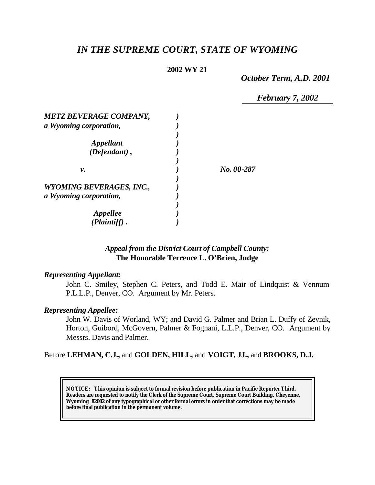# *IN THE SUPREME COURT, STATE OF WYOMING*

### **2002 WY 21**

*October Term, A.D. 2001*

*February 7, 2002*

| <b>METZ BEVERAGE COMPANY,</b><br>a Wyoming corporation, |            |
|---------------------------------------------------------|------------|
| <i><b>Appellant</b></i>                                 |            |
| $(Defendant)$ ,                                         |            |
| ν.                                                      | No. 00-287 |
| <b>WYOMING BEVERAGES, INC.,</b>                         |            |
| a Wyoming corporation,                                  |            |
| <i><b>Appellee</b></i>                                  |            |
| (Plaintiff)                                             |            |

# *Appeal from the District Court of Campbell County:* **The Honorable Terrence L. O'Brien, Judge**

### *Representing Appellant:*

John C. Smiley, Stephen C. Peters, and Todd E. Mair of Lindquist & Vennum P.L.L.P., Denver, CO. Argument by Mr. Peters.

### *Representing Appellee:*

John W. Davis of Worland, WY; and David G. Palmer and Brian L. Duffy of Zevnik, Horton, Guibord, McGovern, Palmer & Fognani, L.L.P., Denver, CO. Argument by Messrs. Davis and Palmer.

# Before **LEHMAN, C.J.,** and **GOLDEN, HILL,** and **VOIGT, JJ.,** and **BROOKS, D.J.**

**NOTICE:** *This opinion is subject to formal revision before publication in Pacific Reporter Third. Readers are requested to notify the Clerk of the Supreme Court, Supreme Court Building, Cheyenne, Wyoming 82002 of any typographical or other formal errors in order that corrections may be made before final publication in the permanent volume.*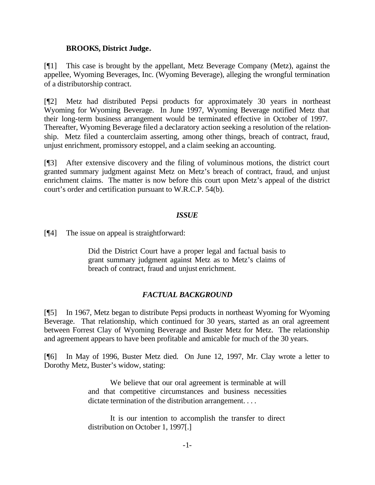### **BROOKS, District Judge.**

[¶1] This case is brought by the appellant, Metz Beverage Company (Metz), against the appellee, Wyoming Beverages, Inc. (Wyoming Beverage), alleging the wrongful termination of a distributorship contract.

[¶2] Metz had distributed Pepsi products for approximately 30 years in northeast Wyoming for Wyoming Beverage. In June 1997, Wyoming Beverage notified Metz that their long-term business arrangement would be terminated effective in October of 1997. Thereafter, Wyoming Beverage filed a declaratory action seeking a resolution of the relationship. Metz filed a counterclaim asserting, among other things, breach of contract, fraud, unjust enrichment, promissory estoppel, and a claim seeking an accounting.

[¶3] After extensive discovery and the filing of voluminous motions, the district court granted summary judgment against Metz on Metz's breach of contract, fraud, and unjust enrichment claims. The matter is now before this court upon Metz's appeal of the district court's order and certification pursuant to W.R.C.P. 54(b).

### *ISSUE*

[¶4] The issue on appeal is straightforward:

Did the District Court have a proper legal and factual basis to grant summary judgment against Metz as to Metz's claims of breach of contract, fraud and unjust enrichment.

# *FACTUAL BACKGROUND*

[¶5] In 1967, Metz began to distribute Pepsi products in northeast Wyoming for Wyoming Beverage. That relationship, which continued for 30 years, started as an oral agreement between Forrest Clay of Wyoming Beverage and Buster Metz for Metz. The relationship and agreement appears to have been profitable and amicable for much of the 30 years.

[¶6] In May of 1996, Buster Metz died. On June 12, 1997, Mr. Clay wrote a letter to Dorothy Metz, Buster's widow, stating:

> We believe that our oral agreement is terminable at will and that competitive circumstances and business necessities dictate termination of the distribution arrangement. . . .

> It is our intention to accomplish the transfer to direct distribution on October 1, 1997[.]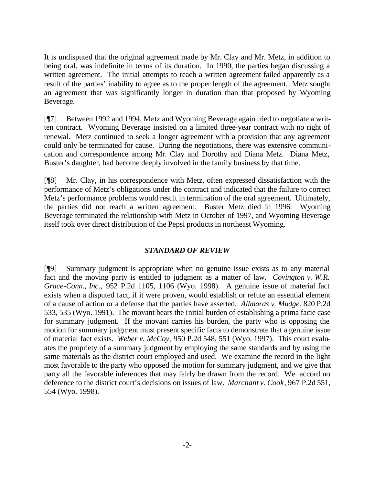It is undisputed that the original agreement made by Mr. Clay and Mr. Metz, in addition to being oral, was indefinite in terms of its duration. In 1990, the parties began discussing a written agreement. The initial attempts to reach a written agreement failed apparently as a result of the parties' inability to agree as to the proper length of the agreement. Metz sought an agreement that was significantly longer in duration than that proposed by Wyoming Beverage.

[¶7] Between 1992 and 1994, Metz and Wyoming Beverage again tried to negotiate a written contract. Wyoming Beverage insisted on a limited three-year contract with no right of renewal. Metz continued to seek a longer agreement with a provision that any agreement could only be terminated for cause. During the negotiations, there was extensive communication and correspondence among Mr. Clay and Dorothy and Diana Metz. Diana Metz, Buster's daughter, had become deeply involved in the family business by that time.

[¶8] Mr. Clay, in his correspondence with Metz, often expressed dissatisfaction with the performance of Metz's obligations under the contract and indicated that the failure to correct Metz's performance problems would result in termination of the oral agreement. Ultimately, the parties did not reach a written agreement. Buster Metz died in 1996. Wyoming Beverage terminated the relationship with Metz in October of 1997, and Wyoming Beverage itself took over direct distribution of the Pepsi products in northeast Wyoming.

# *STANDARD OF REVIEW*

[¶9] Summary judgment is appropriate when no genuine issue exists as to any material fact and the moving party is entitled to judgment as a matter of law. *Covington v. W.R. Grace-Conn., Inc.,* 952 P.2d 1105, 1106 (Wyo. 1998). A genuine issue of material fact exists when a disputed fact, if it were proven, would establish or refute an essential element of a cause of action or a defense that the parties have asserted. *Allmaras v. Mudge*, 820 P.2d 533, 535 (Wyo. 1991). The movant bears the initial burden of establishing a prima facie case for summary judgment. If the movant carries his burden, the party who is opposing the motion for summary judgment must present specific facts to demonstrate that a genuine issue of material fact exists. *Weber v. McCoy,* 950 P.2d 548, 551 (Wyo. 1997). This court evaluates the propriety of a summary judgment by employing the same standards and by using the same materials as the district court employed and used. We examine the record in the light most favorable to the party who opposed the motion for summary judgment, and we give that party all the favorable inferences that may fairly be drawn from the record. We accord no deference to the district court's decisions on issues of law. *Marchant v. Cook*, 967 P.2d 551, 554 (Wyo. 1998).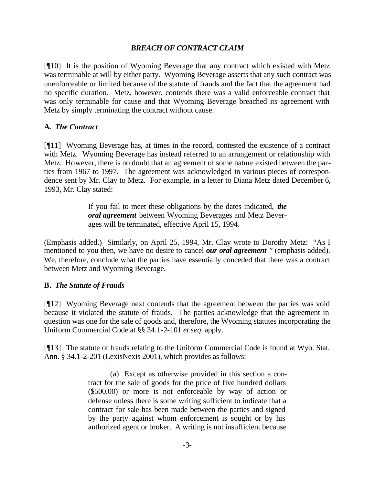# *BREACH OF CONTRACT CLAIM*

[¶10] It is the position of Wyoming Beverage that any contract which existed with Metz was terminable at will by either party. Wyoming Beverage asserts that any such contract was unenforceable or limited because of the statute of frauds and the fact that the agreement had no specific duration. Metz, however, contends there was a valid enforceable contract that was only terminable for cause and that Wyoming Beverage breached its agreement with Metz by simply terminating the contract without cause.

# **A.** *The Contract*

[¶11] Wyoming Beverage has, at times in the record, contested the existence of a contract with Metz. Wyoming Beverage has instead referred to an arrangement or relationship with Metz. However, there is no doubt that an agreement of some nature existed between the parties from 1967 to 1997. The agreement was acknowledged in various pieces of correspondence sent by Mr. Clay to Metz. For example, in a letter to Diana Metz dated December 6, 1993, Mr. Clay stated:

> If you fail to meet these obligations by the dates indicated, *the oral agreement* between Wyoming Beverages and Metz Beverages will be terminated, effective April 15, 1994.

(Emphasis added.) Similarly, on April 25, 1994, Mr. Clay wrote to Dorothy Metz: "As I mentioned to you then, we have no desire to cancel *our oral agreement* " (emphasis added). We, therefore, conclude what the parties have essentially conceded that there was a contract between Metz and Wyoming Beverage.

# **B.** *The Statute of Frauds*

[¶12] Wyoming Beverage next contends that the agreement between the parties was void because it violated the statute of frauds. The parties acknowledge that the agreement in question was one for the sale of goods and, therefore, the Wyoming statutes incorporating the Uniform Commercial Code at §§ 34.1-2-101 *et seq*. apply.

[¶13] The statute of frauds relating to the Uniform Commercial Code is found at Wyo. Stat. Ann. § 34.1-2-201 (LexisNexis 2001), which provides as follows:

> (a) Except as otherwise provided in this section a contract for the sale of goods for the price of five hundred dollars (\$500.00) or more is not enforceable by way of action or defense unless there is some writing sufficient to indicate that a contract for sale has been made between the parties and signed by the party against whom enforcement is sought or by his authorized agent or broker. A writing is not insufficient because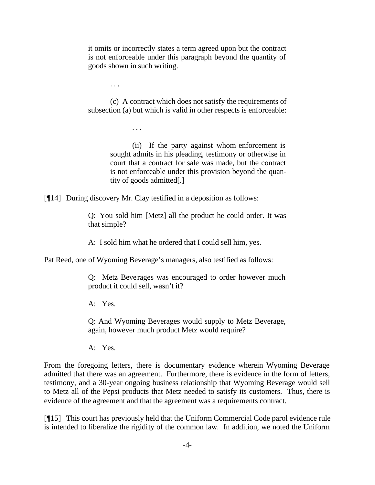it omits or incorrectly states a term agreed upon but the contract is not enforceable under this paragraph beyond the quantity of goods shown in such writing.

. . .

(c) A contract which does not satisfy the requirements of subsection (a) but which is valid in other respects is enforceable:

. . .

(ii) If the party against whom enforcement is sought admits in his pleading, testimony or otherwise in court that a contract for sale was made, but the contract is not enforceable under this provision beyond the quantity of goods admitted[.]

[¶14] During discovery Mr. Clay testified in a deposition as follows:

Q: You sold him [Metz] all the product he could order. It was that simple?

A: I sold him what he ordered that I could sell him, yes.

Pat Reed, one of Wyoming Beverage's managers, also testified as follows:

Q: Metz Beverages was encouraged to order however much product it could sell, wasn't it?

A: Yes.

Q: And Wyoming Beverages would supply to Metz Beverage, again, however much product Metz would require?

A: Yes.

From the foregoing letters, there is documentary evidence wherein Wyoming Beverage admitted that there was an agreement. Furthermore, there is evidence in the form of letters, testimony, and a 30-year ongoing business relationship that Wyoming Beverage would sell to Metz all of the Pepsi products that Metz needed to satisfy its customers. Thus, there is evidence of the agreement and that the agreement was a requirements contract.

[¶15] This court has previously held that the Uniform Commercial Code parol evidence rule is intended to liberalize the rigidity of the common law. In addition, we noted the Uniform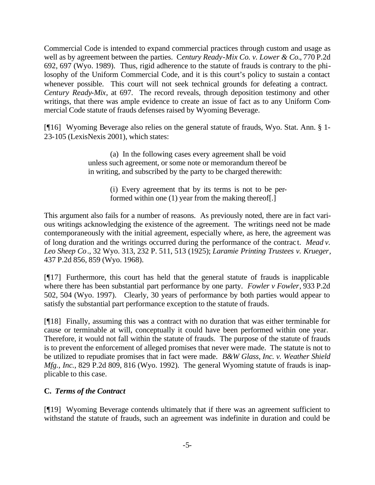Commercial Code is intended to expand commercial practices through custom and usage as well as by agreement between the parties. C*entury Ready-Mix Co. v. Lower & Co.*, 770 P.2d 692, 697 (Wyo. 1989). Thus, rigid adherence to the statute of frauds is contrary to the philosophy of the Uniform Commercial Code, and it is this court's policy to sustain a contact whenever possible. This court will not seek technical grounds for defeating a contract. *Century Ready-Mix,* at 697. The record reveals, through deposition testimony and other writings, that there was ample evidence to create an issue of fact as to any Uniform Commercial Code statute of frauds defenses raised by Wyoming Beverage.

[¶16] Wyoming Beverage also relies on the general statute of frauds, Wyo. Stat. Ann. § 1- 23-105 (LexisNexis 2001), which states:

> (a) In the following cases every agreement shall be void unless such agreement, or some note or memorandum thereof be in writing, and subscribed by the party to be charged therewith:

> > (i) Every agreement that by its terms is not to be performed within one (1) year from the making thereof[.]

This argument also fails for a number of reasons. As previously noted, there are in fact various writings acknowledging the existence of the agreement. The writings need not be made contemporaneously with the initial agreement, especially where, as here, the agreement was of long duration and the writings occurred during the performance of the contract. *Mead v. Leo Sheep Co*., 32 Wyo. 313, 232 P. 511, 513 (1925); *Laramie Printing Trustees v. Krueger*, 437 P.2d 856, 859 (Wyo. 1968).

[¶17] Furthermore, this court has held that the general statute of frauds is inapplicable where there has been substantial part performance by one party. *Fowler v Fowler*, 933 P.2d 502, 504 (Wyo. 1997). Clearly, 30 years of performance by both parties would appear to satisfy the substantial part performance exception to the statute of frauds.

[¶18] Finally, assuming this was a contract with no duration that was either terminable for cause or terminable at will, conceptually it could have been performed within one year. Therefore, it would not fall within the statute of frauds. The purpose of the statute of frauds is to prevent the enforcement of alleged promises that never were made. The statute is not to be utilized to repudiate promises that in fact were made. *B&W Glass, Inc. v. Weather Shield Mfg., Inc.*, 829 P.2d 809, 816 (Wyo. 1992). The general Wyoming statute of frauds is inapplicable to this case.

# **C.** *Terms of the Contract*

[¶19] Wyoming Beverage contends ultimately that if there was an agreement sufficient to withstand the statute of frauds, such an agreement was indefinite in duration and could be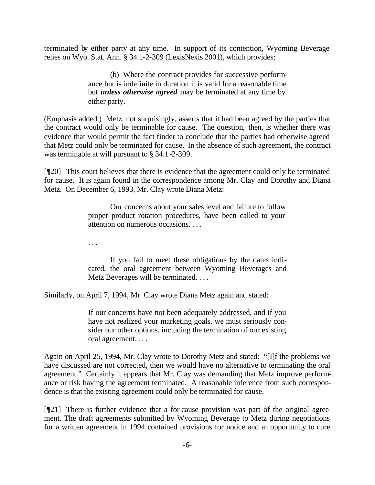terminated by either party at any time. In support of its contention, Wyoming Beverage relies on Wyo. Stat. Ann. § 34.1-2-309 (LexisNexis 2001), which provides:

> (b) Where the contract provides for successive performance but is indefinite in duration it is valid for a reasonable time but *unless otherwise agreed* may be terminated at any time by either party.

(Emphasis added.) Metz, not surprisingly, asserts that it had been agreed by the parties that the contract would only be terminable for cause. The question, then, is whether there was evidence that would permit the fact finder to conclude that the parties had otherwise agreed that Metz could only be terminated for cause. In the absence of such agreement, the contract was terminable at will pursuant to § 34.1-2-309.

[¶20] This court believes that there is evidence that the agreement could only be terminated for cause. It is again found in the correspondence among Mr. Clay and Dorothy and Diana Metz. On December 6, 1993, Mr. Clay wrote Diana Metz:

> Our concerns about your sales level and failure to follow proper product rotation procedures, have been called to your attention on numerous occasions. . . .

. . .

If you fail to meet these obligations by the dates indicated, the oral agreement between Wyoming Beverages and Metz Beverages will be terminated. . . .

Similarly, on April 7, 1994, Mr. Clay wrote Diana Metz again and stated:

If our concerns have not been adequately addressed, and if you have not realized your marketing goals, we must seriously consider our other options, including the termination of our existing oral agreement. . . .

Again on April 25, 1994, Mr. Clay wrote to Dorothy Metz and stated: "[I]f the problems we have discussed are not corrected, then we would have no alternative to terminating the oral agreement." Certainly it appears that Mr. Clay was demanding that Metz improve performance or risk having the agreement terminated. A reasonable inference from such correspondence is that the existing agreement could only be terminated for cause.

[¶21] There is further evidence that a for-cause provision was part of the original agreement. The draft agreements submitted by Wyoming Beverage to Metz during negotiations for a written agreement in 1994 contained provisions for notice and an opportunity to cure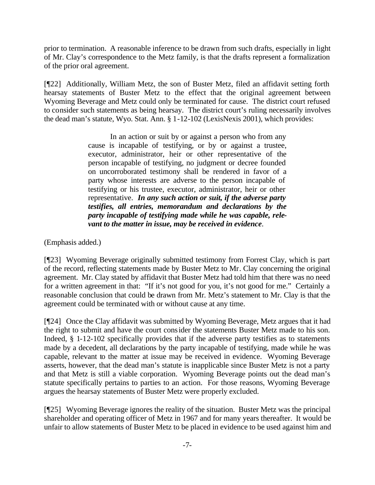prior to termination. A reasonable inference to be drawn from such drafts, especially in light of Mr. Clay's correspondence to the Metz family, is that the drafts represent a formalization of the prior oral agreement.

[¶22] Additionally, William Metz, the son of Buster Metz, filed an affidavit setting forth hearsay statements of Buster Metz to the effect that the original agreement between Wyoming Beverage and Metz could only be terminated for cause. The district court refused to consider such statements as being hearsay. The district court's ruling necessarily involves the dead man's statute, Wyo. Stat. Ann. § 1-12-102 (LexisNexis 2001), which provides:

> In an action or suit by or against a person who from any cause is incapable of testifying, or by or against a trustee, executor, administrator, heir or other representative of the person incapable of testifying, no judgment or decree founded on uncorroborated testimony shall be rendered in favor of a party whose interests are adverse to the person incapable of testifying or his trustee, executor, administrator, heir or other representative. *In any such action or suit, if the adverse party testifies, all entries, memorandum and declarations by the party incapable of testifying made while he was capable, relevant to the matter in issue, may be received in evidence*.

(Emphasis added.)

[¶23] Wyoming Beverage originally submitted testimony from Forrest Clay, which is part of the record, reflecting statements made by Buster Metz to Mr. Clay concerning the original agreement. Mr. Clay stated by affidavit that Buster Metz had told him that there was no need for a written agreement in that: "If it's not good for you, it's not good for me." Certainly a reasonable conclusion that could be drawn from Mr. Metz's statement to Mr. Clay is that the agreement could be terminated with or without cause at any time.

[¶24] Once the Clay affidavit was submitted by Wyoming Beverage, Metz argues that it had the right to submit and have the court consider the statements Buster Metz made to his son. Indeed, § 1-12-102 specifically provides that if the adverse party testifies as to statements made by a decedent, all declarations by the party incapable of testifying, made while he was capable, relevant to the matter at issue may be received in evidence. Wyoming Beverage asserts, however, that the dead man's statute is inapplicable since Buster Metz is not a party and that Metz is still a viable corporation. Wyoming Beverage points out the dead man's statute specifically pertains to parties to an action. For those reasons, Wyoming Beverage argues the hearsay statements of Buster Metz were properly excluded.

[¶25] Wyoming Beverage ignores the reality of the situation. Buster Metz was the principal shareholder and operating officer of Metz in 1967 and for many years thereafter. It would be unfair to allow statements of Buster Metz to be placed in evidence to be used against him and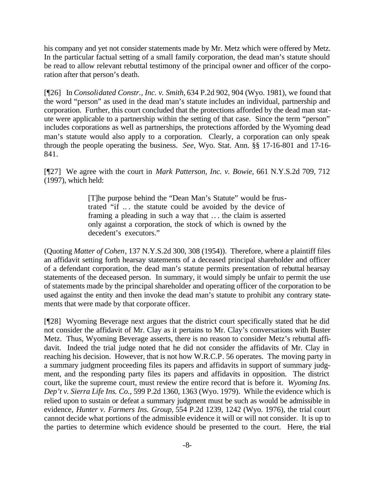his company and yet not consider statements made by Mr. Metz which were offered by Metz. In the particular factual setting of a small family corporation, the dead man's statute should be read to allow relevant rebuttal testimony of the principal owner and officer of the corporation after that person's death.

[¶26] In *Consolidated Constr., Inc. v. Smith,* 634 P.2d 902, 904 (Wyo. 1981), we found that the word "person" as used in the dead man's statute includes an individual, partnership and corporation. Further, this court concluded that the protections afforded by the dead man statute were applicable to a partnership within the setting of that case. Since the term "person" includes corporations as well as partnerships, the protections afforded by the Wyoming dead man's statute would also apply to a corporation. Clearly, a corporation can only speak through the people operating the business. *See*, Wyo. Stat. Ann. §§ 17-16-801 and 17-16- 841.

[¶27] We agree with the court in *Mark Patterson, Inc. v. Bowie*, 661 N.Y.S.2d 709, 712 (1997), which held:

> [T]he purpose behind the "Dean Man's Statute" would be frustrated "if .. . the statute could be avoided by the device of framing a pleading in such a way that .. . the claim is asserted only against a corporation, the stock of which is owned by the decedent's executors."

(Quoting *Matter of Cohen*, 137 N.Y.S.2d 300, 308 (1954)). Therefore, where a plaintiff files an affidavit setting forth hearsay statements of a deceased principal shareholder and officer of a defendant corporation, the dead man's statute permits presentation of rebuttal hearsay statements of the deceased person. In summary, it would simply be unfair to permit the use of statements made by the principal shareholder and operating officer of the corporation to be used against the entity and then invoke the dead man's statute to prohibit any contrary statements that were made by that corporate officer.

[¶28] Wyoming Beverage next argues that the district court specifically stated that he did not consider the affidavit of Mr. Clay as it pertains to Mr. Clay's conversations with Buster Metz. Thus, Wyoming Beverage asserts, there is no reason to consider Metz's rebuttal affidavit. Indeed the trial judge noted that he did not consider the affidavits of Mr. Clay in reaching his decision. However, that is not how W.R.C.P. 56 operates. The moving party in a summary judgment proceeding files its papers and affidavits in support of summary judgment, and the responding party files its papers and affidavits in opposition. The district court, like the supreme court, must review the entire record that is before it. *Wyoming Ins. Dep't v. Sierra Life Ins. Co.,* 599 P.2d 1360, 1363 (Wyo. 1979). While the evidence which is relied upon to sustain or defeat a summary judgment must be such as would be admissible in evidence, *Hunter v. Farmers Ins. Group,* 554 P.2d 1239, 1242 (Wyo. 1976), the trial court cannot decide what portions of the admissible evidence it will or will not consider. It is up to the parties to determine which evidence should be presented to the court. Here, the trial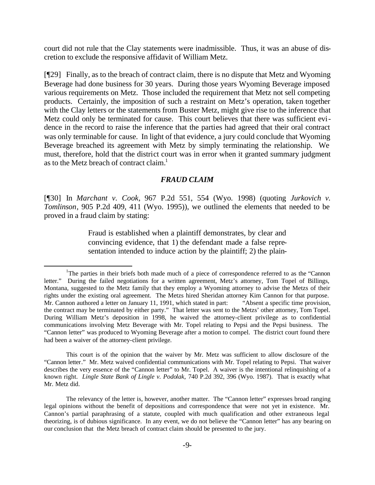court did not rule that the Clay statements were inadmissible. Thus, it was an abuse of discretion to exclude the responsive affidavit of William Metz.

[¶29] Finally, as to the breach of contract claim, there is no dispute that Metz and Wyoming Beverage had done business for 30 years. During those years Wyoming Beverage imposed various requirements on Metz. Those included the requirement that Metz not sell competing products. Certainly, the imposition of such a restraint on Metz's operation, taken together with the Clay letters or the statements from Buster Metz, might give rise to the inference that Metz could only be terminated for cause. This court believes that there was sufficient evidence in the record to raise the inference that the parties had agreed that their oral contract was only terminable for cause. In light of that evidence, a jury could conclude that Wyoming Beverage breached its agreement with Metz by simply terminating the relationship. We must, therefore, hold that the district court was in error when it granted summary judgment as to the Metz breach of contract claim.<sup>1</sup>

#### *FRAUD CLAIM*

[¶30] In *Marchant v. Cook,* 967 P.2d 551, 554 (Wyo. 1998) (quoting *Jurkovich v. Tomlinson*, 905 P.2d 409, 411 (Wyo. 1995)), we outlined the elements that needed to be proved in a fraud claim by stating:

> Fraud is established when a plaintiff demonstrates, by clear and convincing evidence, that 1) the defendant made a false representation intended to induce action by the plaintiff; 2) the plain-

l

This court is of the opinion that the waiver by Mr. Metz was sufficient to allow disclosure of the "Cannon letter." Mr. Metz waived confidential communications with Mr. Topel relating to Pepsi. That waiver describes the very essence of the "Cannon letter" to Mr. Topel. A waiver is the intentional relinquishing of a known right. *Lingle State Bank of Lingle v. Podolak,* 740 P.2d 392, 396 (Wyo. 1987). That is exactly what Mr. Metz did.

<sup>&</sup>lt;sup>1</sup>The parties in their briefs both made much of a piece of correspondence referred to as the "Cannon" letter." During the failed negotiations for a written agreement, Metz's attorney, Tom Topel of Billings, Montana, suggested to the Metz family that they employ a Wyoming attorney to advise the Metzs of their rights under the existing oral agreement. The Metzs hired Sheridan attorney Kim Cannon for that purpose. Mr. Cannon authored a letter on January 11, 1991, which stated in part: "Absent a specific time provision, the contract may be terminated by either party." That letter was sent to the Metzs' other attorney, Tom Topel. During William Metz's deposition in 1998, he waived the attorney-client privilege as to confidential communications involving Metz Beverage with Mr. Topel relating to Pepsi and the Pepsi business. The "Cannon letter" was produced to Wyoming Beverage after a motion to compel. The district court found there had been a waiver of the attorney-client privilege.

The relevancy of the letter is, however, another matter. The "Cannon letter" expresses broad ranging legal opinions without the benefit of depositions and correspondence that were not yet in existence. Mr. Cannon's partial paraphrasing of a statute, coupled with much qualification and other extraneous legal theorizing, is of dubious significance. In any event, we do not believe the "Cannon letter" has any bearing on our conclusion that the Metz breach of contract claim should be presented to the jury.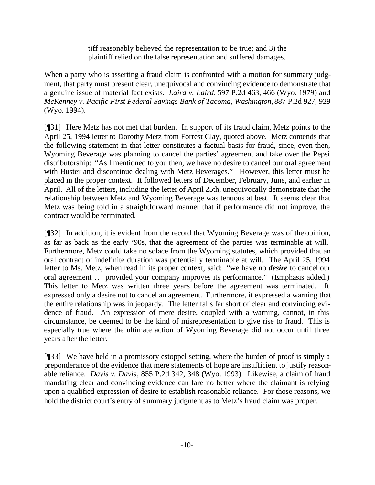tiff reasonably believed the representation to be true; and 3) the plaintiff relied on the false representation and suffered damages.

When a party who is asserting a fraud claim is confronted with a motion for summary judgment, that party must present clear, unequivocal and convincing evidence to demonstrate that a genuine issue of material fact exists. *Laird v. Laird,* 597 P.2d 463, 466 (Wyo. 1979) and *McKenney v. Pacific First Federal Savings Bank of Tacoma, Washington,* 887 P.2d 927, 929 (Wyo. 1994).

[¶31] Here Metz has not met that burden. In support of its fraud claim, Metz points to the April 25, 1994 letter to Dorothy Metz from Forrest Clay, quoted above. Metz contends that the following statement in that letter constitutes a factual basis for fraud, since, even then, Wyoming Beverage was planning to cancel the parties' agreement and take over the Pepsi distributorship: "As I mentioned to you then, we have no desire to cancel our oral agreement with Buster and discontinue dealing with Metz Beverages." However, this letter must be placed in the proper context. It followed letters of December, February, June, and earlier in April. All of the letters, including the letter of April 25th, unequivocally demonstrate that the relationship between Metz and Wyoming Beverage was tenuous at best. It seems clear that Metz was being told in a straightforward manner that if performance did not improve, the contract would be terminated.

[¶32] In addition, it is evident from the record that Wyoming Beverage was of the opinion, as far as back as the early '90s, that the agreement of the parties was terminable at will. Furthermore, Metz could take no solace from the Wyoming statutes, which provided that an oral contract of indefinite duration was potentially terminable at will. The April 25, 1994 letter to Ms. Metz, when read in its proper context, said: "we have no *desire* to cancel our oral agreement .. . provided your company improves its performance." (Emphasis added.) This letter to Metz was written three years before the agreement was terminated. expressed only a desire not to cancel an agreement. Furthermore, it expressed a warning that the entire relationship was in jeopardy. The letter falls far short of clear and convincing evidence of fraud. An expression of mere desire, coupled with a warning, cannot, in this circumstance, be deemed to be the kind of misrepresentation to give rise to fraud. This is especially true where the ultimate action of Wyoming Beverage did not occur until three years after the letter.

[¶33] We have held in a promissory estoppel setting, where the burden of proof is simply a preponderance of the evidence that mere statements of hope are insufficient to justify reasonable reliance. *Davis v. Davis*, 855 P.2d 342, 348 (Wyo. 1993). Likewise, a claim of fraud mandating clear and convincing evidence can fare no better where the claimant is relying upon a qualified expression of desire to establish reasonable reliance. For those reasons, we hold the district court's entry of summary judgment as to Metz's fraud claim was proper.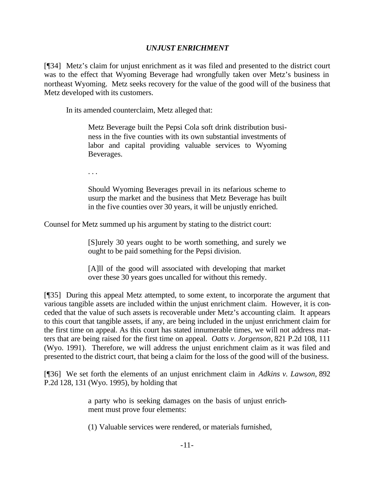# *UNJUST ENRICHMENT*

[¶34] Metz's claim for unjust enrichment as it was filed and presented to the district court was to the effect that Wyoming Beverage had wrongfully taken over Metz's business in northeast Wyoming. Metz seeks recovery for the value of the good will of the business that Metz developed with its customers.

In its amended counterclaim, Metz alleged that:

Metz Beverage built the Pepsi Cola soft drink distribution business in the five counties with its own substantial investments of labor and capital providing valuable services to Wyoming Beverages.

. . .

Should Wyoming Beverages prevail in its nefarious scheme to usurp the market and the business that Metz Beverage has built in the five counties over 30 years, it will be unjustly enriched.

Counsel for Metz summed up his argument by stating to the district court:

[S]urely 30 years ought to be worth something, and surely we ought to be paid something for the Pepsi division.

[A]ll of the good will associated with developing that market over these 30 years goes uncalled for without this remedy.

[¶35] During this appeal Metz attempted, to some extent, to incorporate the argument that various tangible assets are included within the unjust enrichment claim. However, it is conceded that the value of such assets is recoverable under Metz's accounting claim. It appears to this court that tangible assets, if any, are being included in the unjust enrichment claim for the first time on appeal. As this court has stated innumerable times, we will not address matters that are being raised for the first time on appeal. *Oatts v. Jorgenson,* 821 P.2d 108, 111 (Wyo. 1991). Therefore, we will address the unjust enrichment claim as it was filed and presented to the district court, that being a claim for the loss of the good will of the business.

[¶36] We set forth the elements of an unjust enrichment claim in *Adkins v. Lawson*, 892 P.2d 128, 131 (Wyo. 1995), by holding that

> a party who is seeking damages on the basis of unjust enrichment must prove four elements:

(1) Valuable services were rendered, or materials furnished,